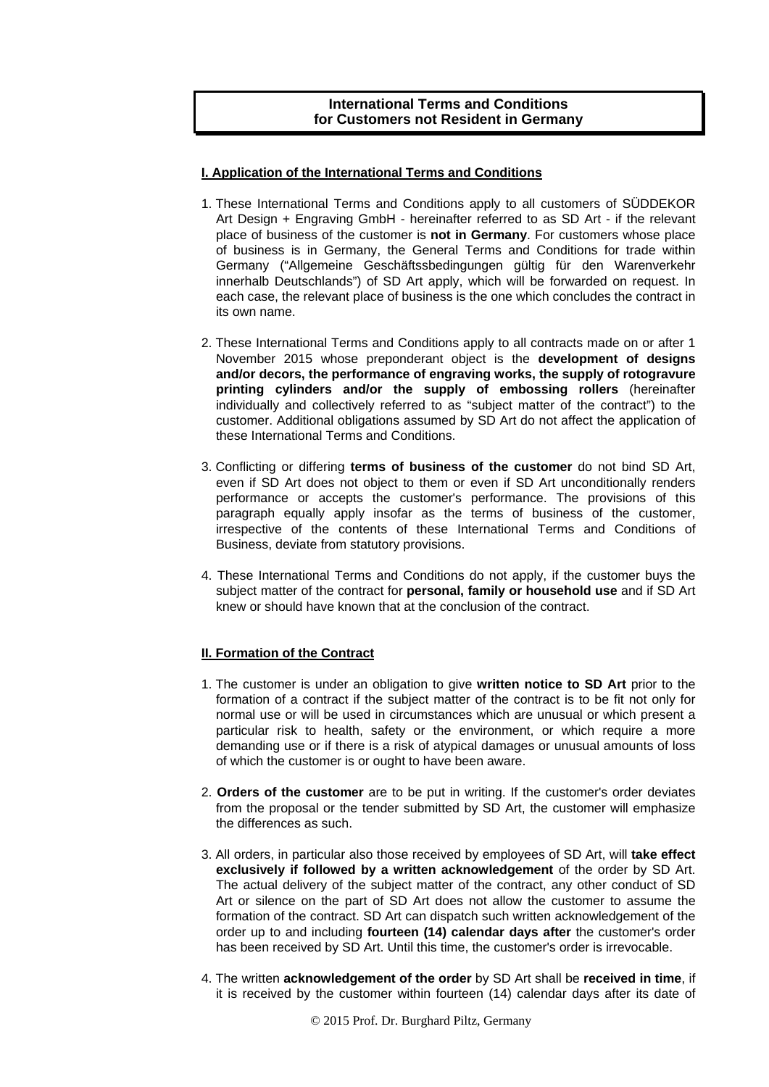# **International Terms and Conditions for Customers not Resident in Germany**

## **I. Application of the International Terms and Conditions**

- 1. These International Terms and Conditions apply to all customers of SÜDDEKOR Art Design + Engraving GmbH - hereinafter referred to as SD Art - if the relevant place of business of the customer is **not in Germany**. For customers whose place of business is in Germany, the General Terms and Conditions for trade within Germany ("Allgemeine Geschäftssbedingungen gültig für den Warenverkehr innerhalb Deutschlands") of SD Art apply, which will be forwarded on request. In each case, the relevant place of business is the one which concludes the contract in its own name.
- 2. These International Terms and Conditions apply to all contracts made on or after 1 November 2015 whose preponderant object is the **development of designs and/or decors, the performance of engraving works, the supply of rotogravure printing cylinders and/or the supply of embossing rollers** (hereinafter individually and collectively referred to as "subject matter of the contract") to the customer. Additional obligations assumed by SD Art do not affect the application of these International Terms and Conditions.
- 3. Conflicting or differing **terms of business of the customer** do not bind SD Art, even if SD Art does not object to them or even if SD Art unconditionally renders performance or accepts the customer's performance. The provisions of this paragraph equally apply insofar as the terms of business of the customer, irrespective of the contents of these International Terms and Conditions of Business, deviate from statutory provisions.
- 4. These International Terms and Conditions do not apply, if the customer buys the subject matter of the contract for **personal, family or household use** and if SD Art knew or should have known that at the conclusion of the contract.

# **II. Formation of the Contract**

- 1. The customer is under an obligation to give **written notice to SD Art** prior to the formation of a contract if the subject matter of the contract is to be fit not only for normal use or will be used in circumstances which are unusual or which present a particular risk to health, safety or the environment, or which require a more demanding use or if there is a risk of atypical damages or unusual amounts of loss of which the customer is or ought to have been aware.
- 2. **Orders of the customer** are to be put in writing. If the customer's order deviates from the proposal or the tender submitted by SD Art, the customer will emphasize the differences as such.
- 3. All orders, in particular also those received by employees of SD Art, will **take effect exclusively if followed by a written acknowledgement** of the order by SD Art. The actual delivery of the subject matter of the contract, any other conduct of SD Art or silence on the part of SD Art does not allow the customer to assume the formation of the contract. SD Art can dispatch such written acknowledgement of the order up to and including **fourteen (14) calendar days after** the customer's order has been received by SD Art. Until this time, the customer's order is irrevocable.
- 4. The written **acknowledgement of the order** by SD Art shall be **received in time**, if it is received by the customer within fourteen (14) calendar days after its date of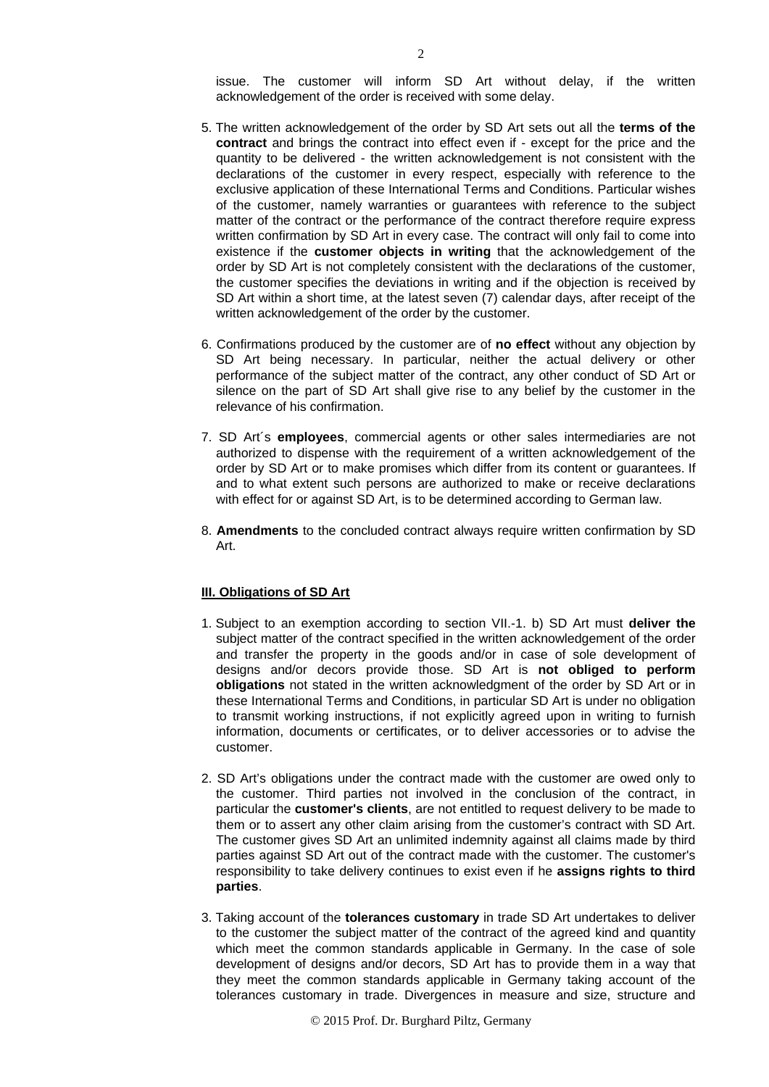issue. The customer will inform SD Art without delay, if the written acknowledgement of the order is received with some delay.

- 5. The written acknowledgement of the order by SD Art sets out all the **terms of the contract** and brings the contract into effect even if - except for the price and the quantity to be delivered - the written acknowledgement is not consistent with the declarations of the customer in every respect, especially with reference to the exclusive application of these International Terms and Conditions. Particular wishes of the customer, namely warranties or guarantees with reference to the subject matter of the contract or the performance of the contract therefore require express written confirmation by SD Art in every case. The contract will only fail to come into existence if the **customer objects in writing** that the acknowledgement of the order by SD Art is not completely consistent with the declarations of the customer, the customer specifies the deviations in writing and if the objection is received by SD Art within a short time, at the latest seven (7) calendar days, after receipt of the written acknowledgement of the order by the customer.
- 6. Confirmations produced by the customer are of **no effect** without any objection by SD Art being necessary. In particular, neither the actual delivery or other performance of the subject matter of the contract, any other conduct of SD Art or silence on the part of SD Art shall give rise to any belief by the customer in the relevance of his confirmation.
- 7. SD Art´s **employees**, commercial agents or other sales intermediaries are not authorized to dispense with the requirement of a written acknowledgement of the order by SD Art or to make promises which differ from its content or guarantees. If and to what extent such persons are authorized to make or receive declarations with effect for or against SD Art, is to be determined according to German law.
- 8. **Amendments** to the concluded contract always require written confirmation by SD Art.

### **III. Obligations of SD Art**

- 1. Subject to an exemption according to section VII.-1. b) SD Art must **deliver the**  subject matter of the contract specified in the written acknowledgement of the order and transfer the property in the goods and/or in case of sole development of designs and/or decors provide those. SD Art is **not obliged to perform obligations** not stated in the written acknowledgment of the order by SD Art or in these International Terms and Conditions, in particular SD Art is under no obligation to transmit working instructions, if not explicitly agreed upon in writing to furnish information, documents or certificates, or to deliver accessories or to advise the customer.
- 2. SD Art's obligations under the contract made with the customer are owed only to the customer. Third parties not involved in the conclusion of the contract, in particular the **customer's clients**, are not entitled to request delivery to be made to them or to assert any other claim arising from the customer's contract with SD Art. The customer gives SD Art an unlimited indemnity against all claims made by third parties against SD Art out of the contract made with the customer. The customer's responsibility to take delivery continues to exist even if he **assigns rights to third parties**.
- 3. Taking account of the **tolerances customary** in trade SD Art undertakes to deliver to the customer the subject matter of the contract of the agreed kind and quantity which meet the common standards applicable in Germany. In the case of sole development of designs and/or decors, SD Art has to provide them in a way that they meet the common standards applicable in Germany taking account of the tolerances customary in trade. Divergences in measure and size, structure and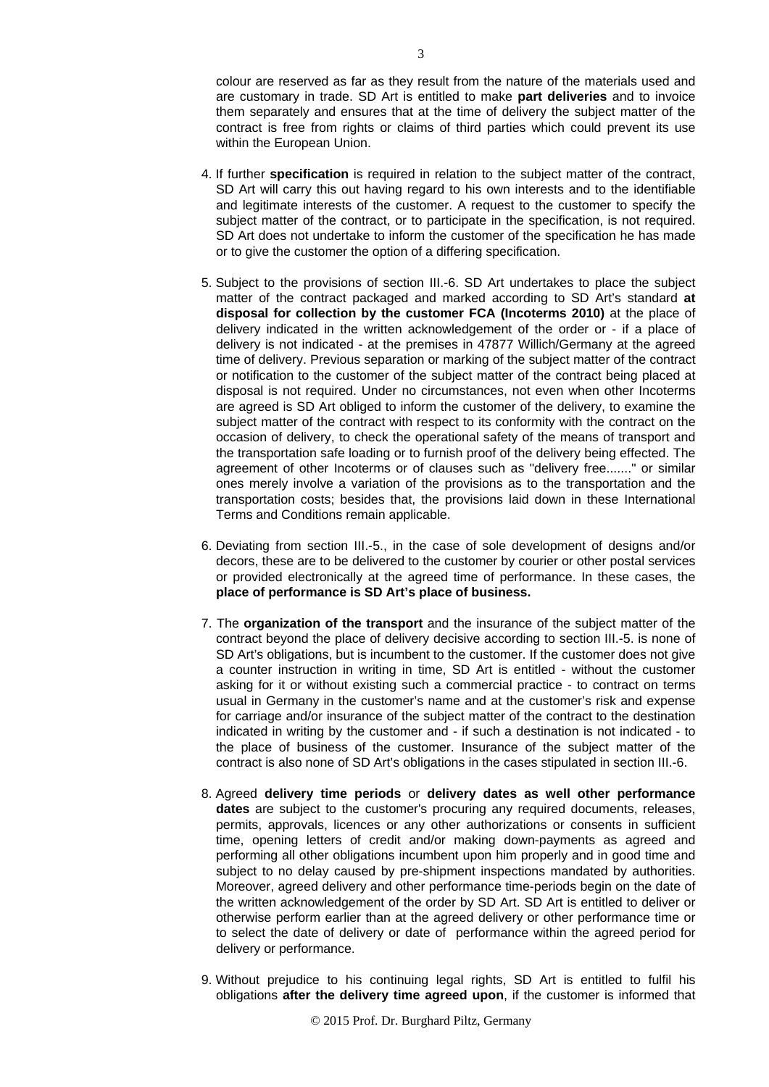colour are reserved as far as they result from the nature of the materials used and are customary in trade. SD Art is entitled to make **part deliveries** and to invoice them separately and ensures that at the time of delivery the subject matter of the contract is free from rights or claims of third parties which could prevent its use within the European Union.

- 4. If further **specification** is required in relation to the subject matter of the contract, SD Art will carry this out having regard to his own interests and to the identifiable and legitimate interests of the customer. A request to the customer to specify the subject matter of the contract, or to participate in the specification, is not required. SD Art does not undertake to inform the customer of the specification he has made or to give the customer the option of a differing specification.
- 5. Subject to the provisions of section III.-6. SD Art undertakes to place the subject matter of the contract packaged and marked according to SD Art's standard **at disposal for collection by the customer FCA (Incoterms 2010)** at the place of delivery indicated in the written acknowledgement of the order or - if a place of delivery is not indicated - at the premises in 47877 Willich/Germany at the agreed time of delivery. Previous separation or marking of the subject matter of the contract or notification to the customer of the subject matter of the contract being placed at disposal is not required. Under no circumstances, not even when other Incoterms are agreed is SD Art obliged to inform the customer of the delivery, to examine the subject matter of the contract with respect to its conformity with the contract on the occasion of delivery, to check the operational safety of the means of transport and the transportation safe loading or to furnish proof of the delivery being effected. The agreement of other Incoterms or of clauses such as "delivery free......." or similar ones merely involve a variation of the provisions as to the transportation and the transportation costs; besides that, the provisions laid down in these International Terms and Conditions remain applicable.
- 6. Deviating from section III.-5., in the case of sole development of designs and/or decors, these are to be delivered to the customer by courier or other postal services or provided electronically at the agreed time of performance. In these cases, the **place of performance is SD Art's place of business.**
- 7. The **organization of the transport** and the insurance of the subject matter of the contract beyond the place of delivery decisive according to section III.-5. is none of SD Art's obligations, but is incumbent to the customer. If the customer does not give a counter instruction in writing in time, SD Art is entitled - without the customer asking for it or without existing such a commercial practice - to contract on terms usual in Germany in the customer's name and at the customer's risk and expense for carriage and/or insurance of the subject matter of the contract to the destination indicated in writing by the customer and - if such a destination is not indicated - to the place of business of the customer. Insurance of the subject matter of the contract is also none of SD Art's obligations in the cases stipulated in section III.-6.
- 8. Agreed **delivery time periods** or **delivery dates as well other performance dates** are subject to the customer's procuring any required documents, releases, permits, approvals, licences or any other authorizations or consents in sufficient time, opening letters of credit and/or making down-payments as agreed and performing all other obligations incumbent upon him properly and in good time and subject to no delay caused by pre-shipment inspections mandated by authorities. Moreover, agreed delivery and other performance time-periods begin on the date of the written acknowledgement of the order by SD Art. SD Art is entitled to deliver or otherwise perform earlier than at the agreed delivery or other performance time or to select the date of delivery or date of performance within the agreed period for delivery or performance.
- 9. Without prejudice to his continuing legal rights, SD Art is entitled to fulfil his obligations **after the delivery time agreed upon**, if the customer is informed that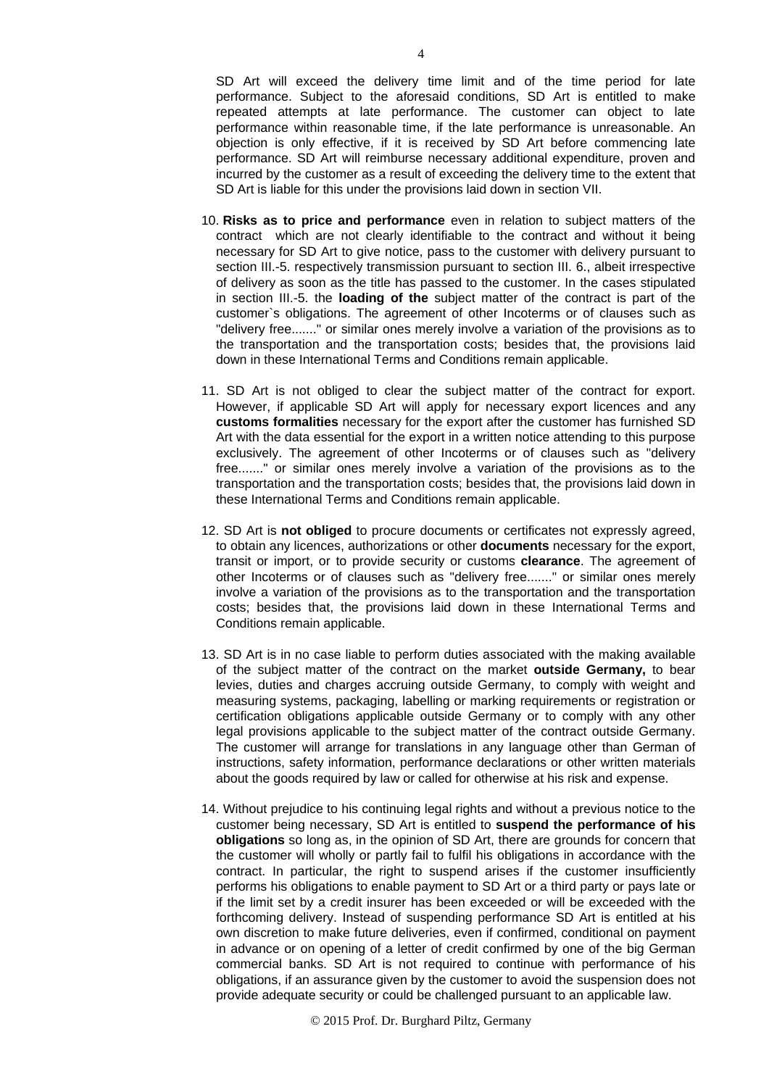SD Art will exceed the delivery time limit and of the time period for late performance. Subject to the aforesaid conditions, SD Art is entitled to make repeated attempts at late performance. The customer can object to late performance within reasonable time, if the late performance is unreasonable. An objection is only effective, if it is received by SD Art before commencing late performance. SD Art will reimburse necessary additional expenditure, proven and incurred by the customer as a result of exceeding the delivery time to the extent that SD Art is liable for this under the provisions laid down in section VII.

- 10. **Risks as to price and performance** even in relation to subject matters of the contract which are not clearly identifiable to the contract and without it being necessary for SD Art to give notice, pass to the customer with delivery pursuant to section III.-5. respectively transmission pursuant to section III. 6., albeit irrespective of delivery as soon as the title has passed to the customer. In the cases stipulated in section III.-5. the **loading of the** subject matter of the contract is part of the customer`s obligations. The agreement of other Incoterms or of clauses such as "delivery free......." or similar ones merely involve a variation of the provisions as to the transportation and the transportation costs; besides that, the provisions laid down in these International Terms and Conditions remain applicable.
- 11. SD Art is not obliged to clear the subject matter of the contract for export. However, if applicable SD Art will apply for necessary export licences and any **customs formalities** necessary for the export after the customer has furnished SD Art with the data essential for the export in a written notice attending to this purpose exclusively. The agreement of other Incoterms or of clauses such as "delivery free......." or similar ones merely involve a variation of the provisions as to the transportation and the transportation costs; besides that, the provisions laid down in these International Terms and Conditions remain applicable.
- 12. SD Art is **not obliged** to procure documents or certificates not expressly agreed, to obtain any licences, authorizations or other **documents** necessary for the export, transit or import, or to provide security or customs **clearance**. The agreement of other Incoterms or of clauses such as "delivery free......." or similar ones merely involve a variation of the provisions as to the transportation and the transportation costs; besides that, the provisions laid down in these International Terms and Conditions remain applicable.
- 13. SD Art is in no case liable to perform duties associated with the making available of the subject matter of the contract on the market **outside Germany,** to bear levies, duties and charges accruing outside Germany, to comply with weight and measuring systems, packaging, labelling or marking requirements or registration or certification obligations applicable outside Germany or to comply with any other legal provisions applicable to the subject matter of the contract outside Germany. The customer will arrange for translations in any language other than German of instructions, safety information, performance declarations or other written materials about the goods required by law or called for otherwise at his risk and expense.
- 14. Without prejudice to his continuing legal rights and without a previous notice to the customer being necessary, SD Art is entitled to **suspend the performance of his obligations** so long as, in the opinion of SD Art, there are grounds for concern that the customer will wholly or partly fail to fulfil his obligations in accordance with the contract. In particular, the right to suspend arises if the customer insufficiently performs his obligations to enable payment to SD Art or a third party or pays late or if the limit set by a credit insurer has been exceeded or will be exceeded with the forthcoming delivery. Instead of suspending performance SD Art is entitled at his own discretion to make future deliveries, even if confirmed, conditional on payment in advance or on opening of a letter of credit confirmed by one of the big German commercial banks. SD Art is not required to continue with performance of his obligations, if an assurance given by the customer to avoid the suspension does not provide adequate security or could be challenged pursuant to an applicable law.

4

© 2015 Prof. Dr. Burghard Piltz, Germany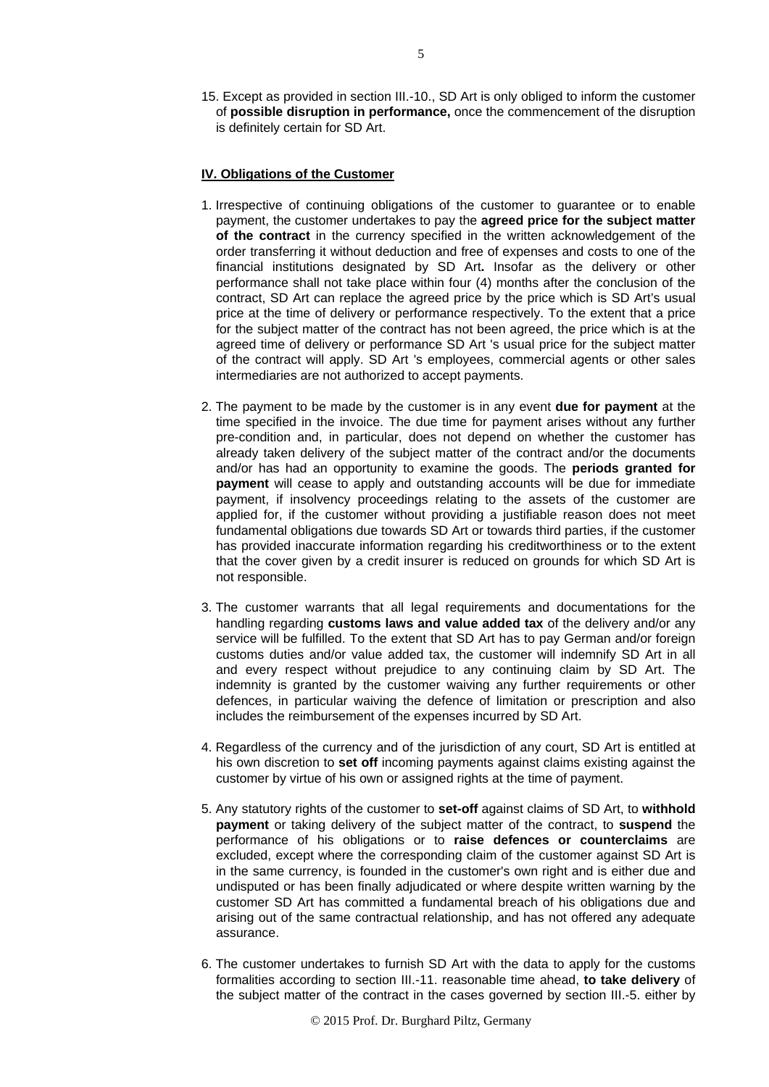15. Except as provided in section III.-10., SD Art is only obliged to inform the customer of **possible disruption in performance,** once the commencement of the disruption is definitely certain for SD Art.

## **IV. Obligations of the Customer**

- 1. Irrespective of continuing obligations of the customer to guarantee or to enable payment, the customer undertakes to pay the **agreed price for the subject matter of the contract** in the currency specified in the written acknowledgement of the order transferring it without deduction and free of expenses and costs to one of the financial institutions designated by SD Art**.** Insofar as the delivery or other performance shall not take place within four (4) months after the conclusion of the contract, SD Art can replace the agreed price by the price which is SD Art's usual price at the time of delivery or performance respectively. To the extent that a price for the subject matter of the contract has not been agreed, the price which is at the agreed time of delivery or performance SD Art 's usual price for the subject matter of the contract will apply. SD Art 's employees, commercial agents or other sales intermediaries are not authorized to accept payments.
- 2. The payment to be made by the customer is in any event **due for payment** at the time specified in the invoice. The due time for payment arises without any further pre-condition and, in particular, does not depend on whether the customer has already taken delivery of the subject matter of the contract and/or the documents and/or has had an opportunity to examine the goods. The **periods granted for payment** will cease to apply and outstanding accounts will be due for immediate payment, if insolvency proceedings relating to the assets of the customer are applied for, if the customer without providing a justifiable reason does not meet fundamental obligations due towards SD Art or towards third parties, if the customer has provided inaccurate information regarding his creditworthiness or to the extent that the cover given by a credit insurer is reduced on grounds for which SD Art is not responsible.
- 3. The customer warrants that all legal requirements and documentations for the handling regarding **customs laws and value added tax** of the delivery and/or any service will be fulfilled. To the extent that SD Art has to pay German and/or foreign customs duties and/or value added tax, the customer will indemnify SD Art in all and every respect without prejudice to any continuing claim by SD Art. The indemnity is granted by the customer waiving any further requirements or other defences, in particular waiving the defence of limitation or prescription and also includes the reimbursement of the expenses incurred by SD Art.
- 4. Regardless of the currency and of the jurisdiction of any court, SD Art is entitled at his own discretion to **set off** incoming payments against claims existing against the customer by virtue of his own or assigned rights at the time of payment.
- 5. Any statutory rights of the customer to **set-off** against claims of SD Art, to **withhold payment** or taking delivery of the subject matter of the contract, to **suspend** the performance of his obligations or to **raise defences or counterclaims** are excluded, except where the corresponding claim of the customer against SD Art is in the same currency, is founded in the customer's own right and is either due and undisputed or has been finally adjudicated or where despite written warning by the customer SD Art has committed a fundamental breach of his obligations due and arising out of the same contractual relationship, and has not offered any adequate assurance.
- 6. The customer undertakes to furnish SD Art with the data to apply for the customs formalities according to section III.-11. reasonable time ahead, **to take delivery** of the subject matter of the contract in the cases governed by section III.-5. either by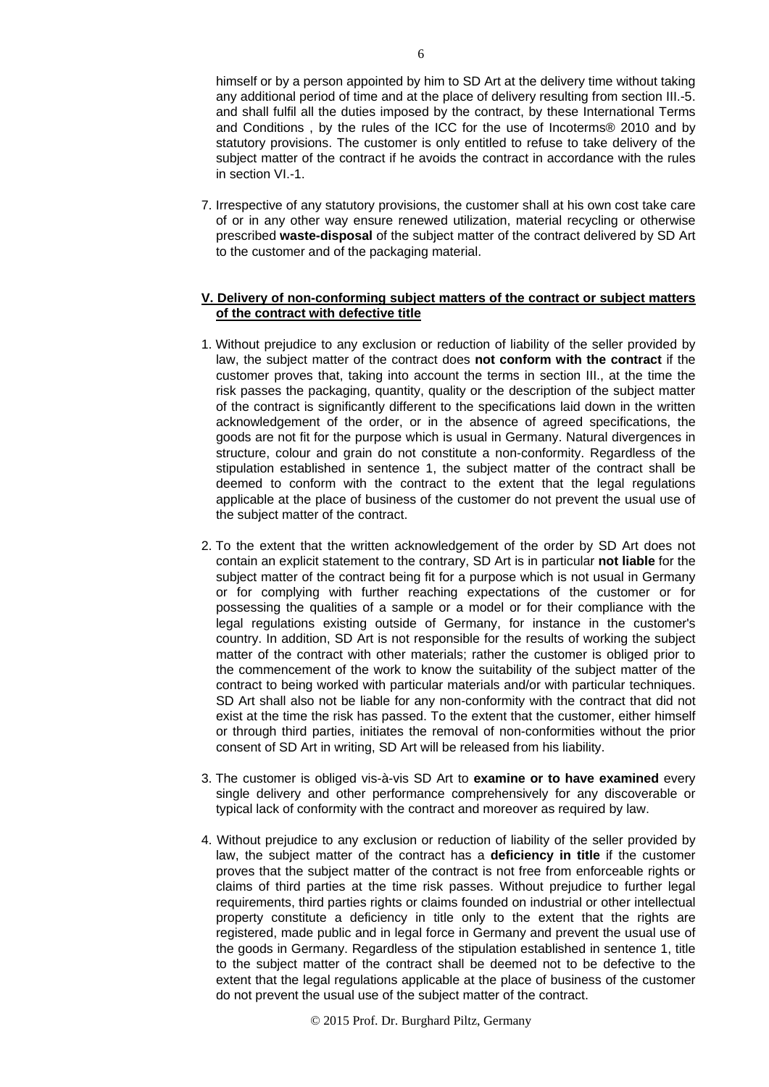7. Irrespective of any statutory provisions, the customer shall at his own cost take care of or in any other way ensure renewed utilization, material recycling or otherwise prescribed **waste-disposal** of the subject matter of the contract delivered by SD Art to the customer and of the packaging material.

### **V. Delivery of non-conforming subject matters of the contract or subject matters of the contract with defective title**

- 1. Without prejudice to any exclusion or reduction of liability of the seller provided by law, the subject matter of the contract does **not conform with the contract** if the customer proves that, taking into account the terms in section III., at the time the risk passes the packaging, quantity, quality or the description of the subject matter of the contract is significantly different to the specifications laid down in the written acknowledgement of the order, or in the absence of agreed specifications, the goods are not fit for the purpose which is usual in Germany. Natural divergences in structure, colour and grain do not constitute a non-conformity. Regardless of the stipulation established in sentence 1, the subject matter of the contract shall be deemed to conform with the contract to the extent that the legal regulations applicable at the place of business of the customer do not prevent the usual use of the subject matter of the contract.
- 2. To the extent that the written acknowledgement of the order by SD Art does not contain an explicit statement to the contrary, SD Art is in particular **not liable** for the subject matter of the contract being fit for a purpose which is not usual in Germany or for complying with further reaching expectations of the customer or for possessing the qualities of a sample or a model or for their compliance with the legal regulations existing outside of Germany, for instance in the customer's country. In addition, SD Art is not responsible for the results of working the subject matter of the contract with other materials; rather the customer is obliged prior to the commencement of the work to know the suitability of the subject matter of the contract to being worked with particular materials and/or with particular techniques. SD Art shall also not be liable for any non-conformity with the contract that did not exist at the time the risk has passed. To the extent that the customer, either himself or through third parties, initiates the removal of non-conformities without the prior consent of SD Art in writing, SD Art will be released from his liability.
- 3. The customer is obliged vis-à-vis SD Art to **examine or to have examined** every single delivery and other performance comprehensively for any discoverable or typical lack of conformity with the contract and moreover as required by law.
- 4. Without prejudice to any exclusion or reduction of liability of the seller provided by law, the subject matter of the contract has a **deficiency in title** if the customer proves that the subject matter of the contract is not free from enforceable rights or claims of third parties at the time risk passes. Without prejudice to further legal requirements, third parties rights or claims founded on industrial or other intellectual property constitute a deficiency in title only to the extent that the rights are registered, made public and in legal force in Germany and prevent the usual use of the goods in Germany. Regardless of the stipulation established in sentence 1, title to the subject matter of the contract shall be deemed not to be defective to the extent that the legal regulations applicable at the place of business of the customer do not prevent the usual use of the subject matter of the contract.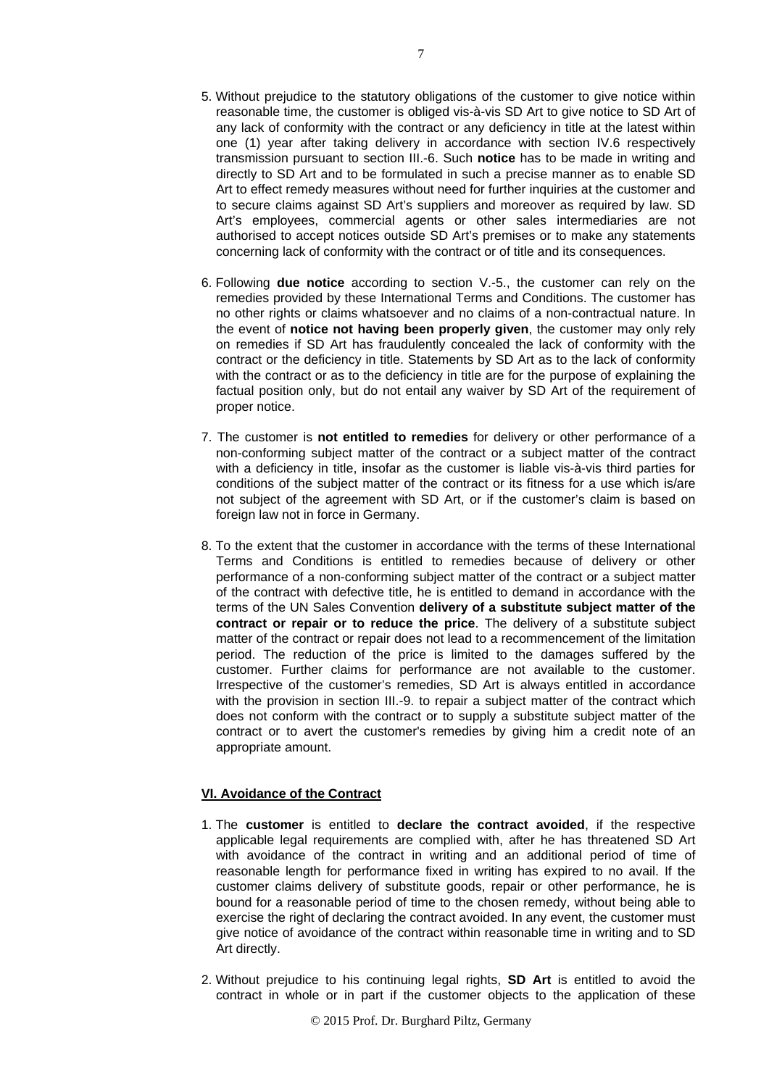- 5. Without prejudice to the statutory obligations of the customer to give notice within reasonable time, the customer is obliged vis-à-vis SD Art to give notice to SD Art of any lack of conformity with the contract or any deficiency in title at the latest within one (1) year after taking delivery in accordance with section IV.6 respectively transmission pursuant to section III.-6. Such **notice** has to be made in writing and directly to SD Art and to be formulated in such a precise manner as to enable SD Art to effect remedy measures without need for further inquiries at the customer and to secure claims against SD Art's suppliers and moreover as required by law. SD Art's employees, commercial agents or other sales intermediaries are not authorised to accept notices outside SD Art's premises or to make any statements concerning lack of conformity with the contract or of title and its consequences.
- 6. Following **due notice** according to section V.-5., the customer can rely on the remedies provided by these International Terms and Conditions. The customer has no other rights or claims whatsoever and no claims of a non-contractual nature. In the event of **notice not having been properly given**, the customer may only rely on remedies if SD Art has fraudulently concealed the lack of conformity with the contract or the deficiency in title. Statements by SD Art as to the lack of conformity with the contract or as to the deficiency in title are for the purpose of explaining the factual position only, but do not entail any waiver by SD Art of the requirement of proper notice.
- 7. The customer is **not entitled to remedies** for delivery or other performance of a non-conforming subject matter of the contract or a subject matter of the contract with a deficiency in title, insofar as the customer is liable vis-à-vis third parties for conditions of the subject matter of the contract or its fitness for a use which is/are not subject of the agreement with SD Art, or if the customer's claim is based on foreign law not in force in Germany.
- 8. To the extent that the customer in accordance with the terms of these International Terms and Conditions is entitled to remedies because of delivery or other performance of a non-conforming subject matter of the contract or a subject matter of the contract with defective title, he is entitled to demand in accordance with the terms of the UN Sales Convention **delivery of a substitute subject matter of the contract or repair or to reduce the price**. The delivery of a substitute subject matter of the contract or repair does not lead to a recommencement of the limitation period. The reduction of the price is limited to the damages suffered by the customer. Further claims for performance are not available to the customer. Irrespective of the customer's remedies, SD Art is always entitled in accordance with the provision in section III.-9. to repair a subject matter of the contract which does not conform with the contract or to supply a substitute subject matter of the contract or to avert the customer's remedies by giving him a credit note of an appropriate amount.

#### **VI. Avoidance of the Contract**

- 1. The **customer** is entitled to **declare the contract avoided**, if the respective applicable legal requirements are complied with, after he has threatened SD Art with avoidance of the contract in writing and an additional period of time of reasonable length for performance fixed in writing has expired to no avail. If the customer claims delivery of substitute goods, repair or other performance, he is bound for a reasonable period of time to the chosen remedy, without being able to exercise the right of declaring the contract avoided. In any event, the customer must give notice of avoidance of the contract within reasonable time in writing and to SD Art directly.
- 2. Without prejudice to his continuing legal rights, **SD Art** is entitled to avoid the contract in whole or in part if the customer objects to the application of these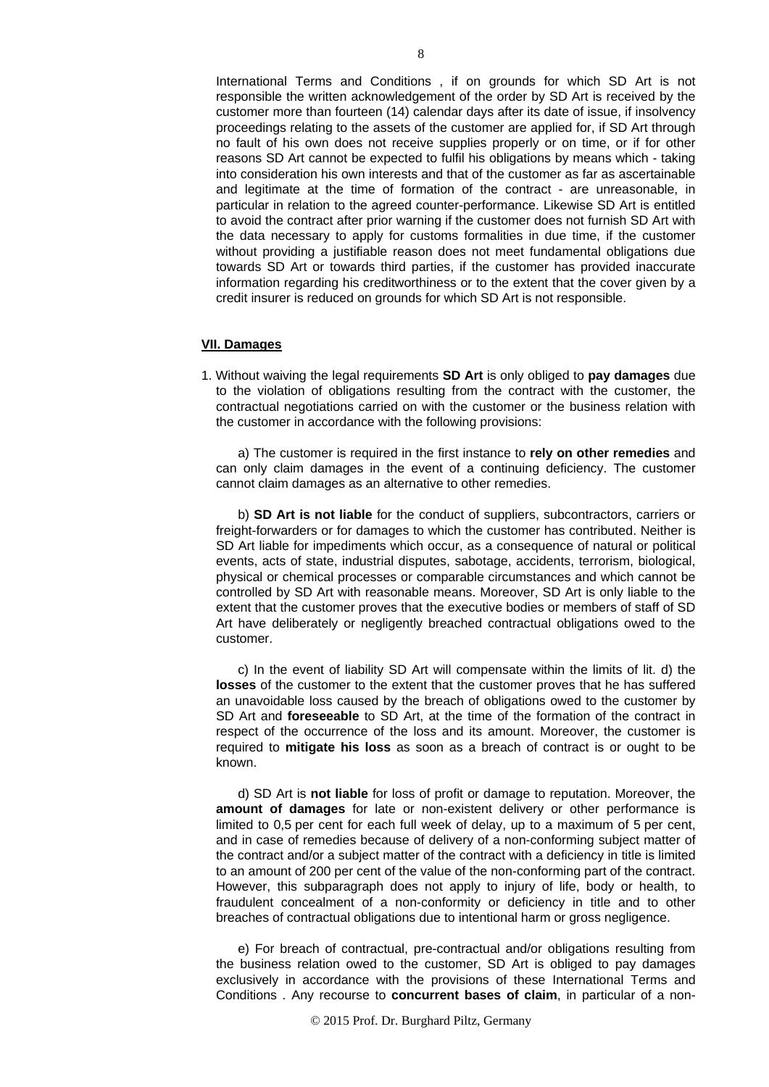International Terms and Conditions , if on grounds for which SD Art is not responsible the written acknowledgement of the order by SD Art is received by the customer more than fourteen (14) calendar days after its date of issue, if insolvency proceedings relating to the assets of the customer are applied for, if SD Art through no fault of his own does not receive supplies properly or on time, or if for other reasons SD Art cannot be expected to fulfil his obligations by means which - taking into consideration his own interests and that of the customer as far as ascertainable and legitimate at the time of formation of the contract - are unreasonable, in particular in relation to the agreed counter-performance. Likewise SD Art is entitled to avoid the contract after prior warning if the customer does not furnish SD Art with the data necessary to apply for customs formalities in due time, if the customer without providing a justifiable reason does not meet fundamental obligations due towards SD Art or towards third parties, if the customer has provided inaccurate information regarding his creditworthiness or to the extent that the cover given by a credit insurer is reduced on grounds for which SD Art is not responsible.

#### **VII. Damages**

1. Without waiving the legal requirements **SD Art** is only obliged to **pay damages** due to the violation of obligations resulting from the contract with the customer, the contractual negotiations carried on with the customer or the business relation with the customer in accordance with the following provisions:

a) The customer is required in the first instance to **rely on other remedies** and can only claim damages in the event of a continuing deficiency. The customer cannot claim damages as an alternative to other remedies.

b) **SD Art is not liable** for the conduct of suppliers, subcontractors, carriers or freight-forwarders or for damages to which the customer has contributed. Neither is SD Art liable for impediments which occur, as a consequence of natural or political events, acts of state, industrial disputes, sabotage, accidents, terrorism, biological, physical or chemical processes or comparable circumstances and which cannot be controlled by SD Art with reasonable means. Moreover, SD Art is only liable to the extent that the customer proves that the executive bodies or members of staff of SD Art have deliberately or negligently breached contractual obligations owed to the customer.

c) In the event of liability SD Art will compensate within the limits of lit. d) the **losses** of the customer to the extent that the customer proves that he has suffered an unavoidable loss caused by the breach of obligations owed to the customer by SD Art and **foreseeable** to SD Art, at the time of the formation of the contract in respect of the occurrence of the loss and its amount. Moreover, the customer is required to **mitigate his loss** as soon as a breach of contract is or ought to be known.

d) SD Art is **not liable** for loss of profit or damage to reputation. Moreover, the **amount of damages** for late or non-existent delivery or other performance is limited to 0,5 per cent for each full week of delay, up to a maximum of 5 per cent, and in case of remedies because of delivery of a non-conforming subject matter of the contract and/or a subject matter of the contract with a deficiency in title is limited to an amount of 200 per cent of the value of the non-conforming part of the contract. However, this subparagraph does not apply to injury of life, body or health, to fraudulent concealment of a non-conformity or deficiency in title and to other breaches of contractual obligations due to intentional harm or gross negligence.

e) For breach of contractual, pre-contractual and/or obligations resulting from the business relation owed to the customer, SD Art is obliged to pay damages exclusively in accordance with the provisions of these International Terms and Conditions . Any recourse to **concurrent bases of claim**, in particular of a non-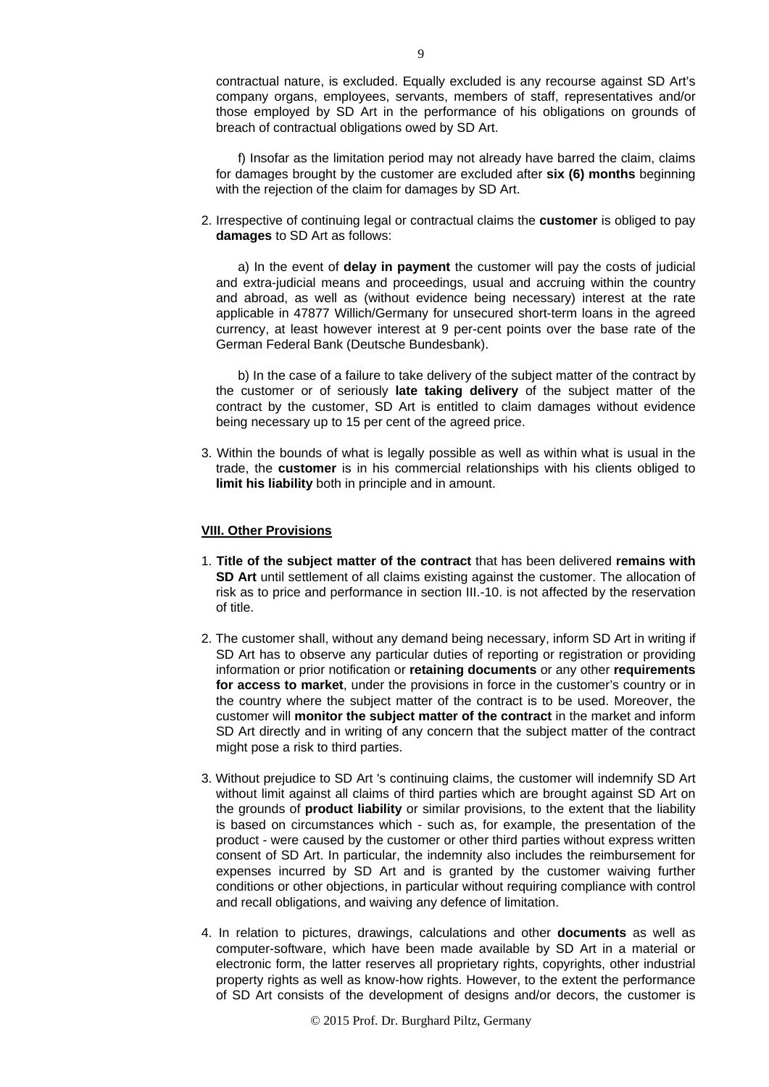f) Insofar as the limitation period may not already have barred the claim, claims for damages brought by the customer are excluded after **six (6) months** beginning with the rejection of the claim for damages by SD Art.

2. Irrespective of continuing legal or contractual claims the **customer** is obliged to pay **damages** to SD Art as follows:

a) In the event of **delay in payment** the customer will pay the costs of judicial and extra-judicial means and proceedings, usual and accruing within the country and abroad, as well as (without evidence being necessary) interest at the rate applicable in 47877 Willich/Germany for unsecured short-term loans in the agreed currency, at least however interest at 9 per-cent points over the base rate of the German Federal Bank (Deutsche Bundesbank).

b) In the case of a failure to take delivery of the subject matter of the contract by the customer or of seriously **late taking delivery** of the subject matter of the contract by the customer, SD Art is entitled to claim damages without evidence being necessary up to 15 per cent of the agreed price.

3. Within the bounds of what is legally possible as well as within what is usual in the trade, the **customer** is in his commercial relationships with his clients obliged to **limit his liability** both in principle and in amount.

#### **VIII. Other Provisions**

- 1. **Title of the subject matter of the contract** that has been delivered **remains with SD Art** until settlement of all claims existing against the customer. The allocation of risk as to price and performance in section III.-10. is not affected by the reservation of title.
- 2. The customer shall, without any demand being necessary, inform SD Art in writing if SD Art has to observe any particular duties of reporting or registration or providing information or prior notification or **retaining documents** or any other **requirements for access to market**, under the provisions in force in the customer's country or in the country where the subject matter of the contract is to be used. Moreover, the customer will **monitor the subject matter of the contract** in the market and inform SD Art directly and in writing of any concern that the subject matter of the contract might pose a risk to third parties.
- 3. Without prejudice to SD Art 's continuing claims, the customer will indemnify SD Art without limit against all claims of third parties which are brought against SD Art on the grounds of **product liability** or similar provisions, to the extent that the liability is based on circumstances which - such as, for example, the presentation of the product - were caused by the customer or other third parties without express written consent of SD Art. In particular, the indemnity also includes the reimbursement for expenses incurred by SD Art and is granted by the customer waiving further conditions or other objections, in particular without requiring compliance with control and recall obligations, and waiving any defence of limitation.
- 4. In relation to pictures, drawings, calculations and other **documents** as well as computer-software, which have been made available by SD Art in a material or electronic form, the latter reserves all proprietary rights, copyrights, other industrial property rights as well as know-how rights. However, to the extent the performance of SD Art consists of the development of designs and/or decors, the customer is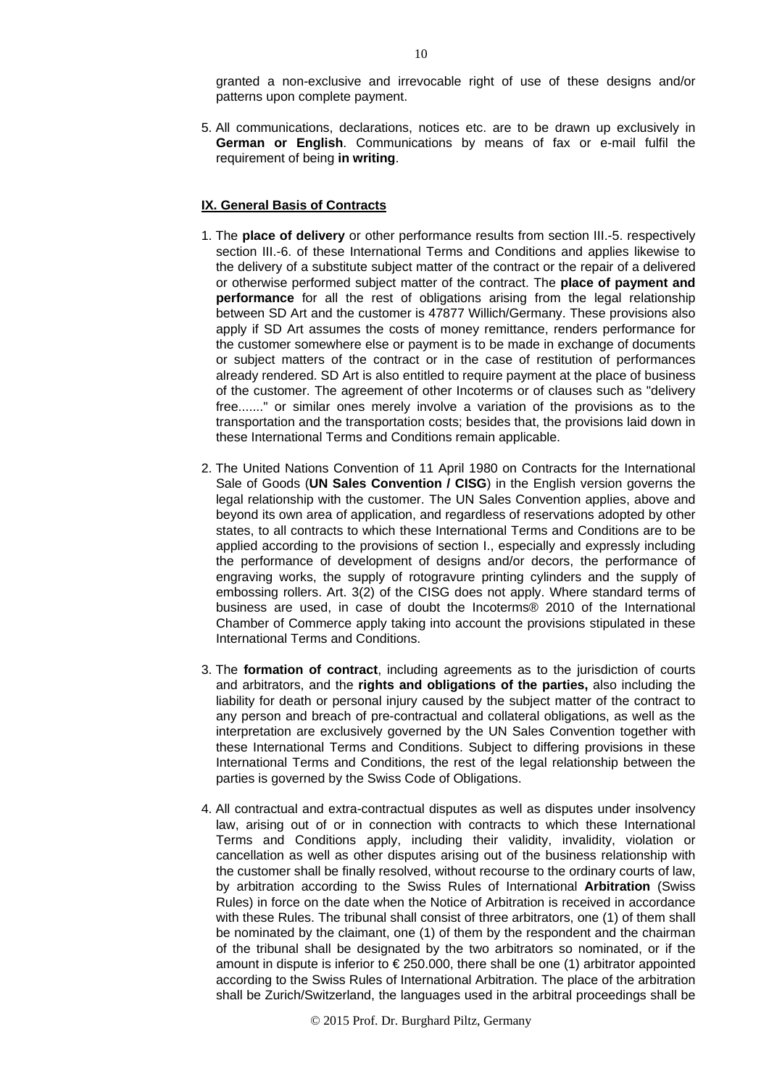granted a non-exclusive and irrevocable right of use of these designs and/or patterns upon complete payment.

5. All communications, declarations, notices etc. are to be drawn up exclusively in **German or English**. Communications by means of fax or e-mail fulfil the requirement of being **in writing**.

## **IX. General Basis of Contracts**

- 1. The **place of delivery** or other performance results from section III.-5. respectively section III.-6. of these International Terms and Conditions and applies likewise to the delivery of a substitute subject matter of the contract or the repair of a delivered or otherwise performed subject matter of the contract. The **place of payment and performance** for all the rest of obligations arising from the legal relationship between SD Art and the customer is 47877 Willich/Germany. These provisions also apply if SD Art assumes the costs of money remittance, renders performance for the customer somewhere else or payment is to be made in exchange of documents or subject matters of the contract or in the case of restitution of performances already rendered. SD Art is also entitled to require payment at the place of business of the customer. The agreement of other Incoterms or of clauses such as "delivery free......." or similar ones merely involve a variation of the provisions as to the transportation and the transportation costs; besides that, the provisions laid down in these International Terms and Conditions remain applicable.
- 2. The United Nations Convention of 11 April 1980 on Contracts for the International Sale of Goods (**UN Sales Convention / CISG**) in the English version governs the legal relationship with the customer. The UN Sales Convention applies, above and beyond its own area of application, and regardless of reservations adopted by other states, to all contracts to which these International Terms and Conditions are to be applied according to the provisions of section I., especially and expressly including the performance of development of designs and/or decors, the performance of engraving works, the supply of rotogravure printing cylinders and the supply of embossing rollers. Art. 3(2) of the CISG does not apply. Where standard terms of business are used, in case of doubt the Incoterms® 2010 of the International Chamber of Commerce apply taking into account the provisions stipulated in these International Terms and Conditions.
- 3. The **formation of contract**, including agreements as to the jurisdiction of courts and arbitrators, and the **rights and obligations of the parties,** also including the liability for death or personal injury caused by the subject matter of the contract to any person and breach of pre-contractual and collateral obligations, as well as the interpretation are exclusively governed by the UN Sales Convention together with these International Terms and Conditions. Subject to differing provisions in these International Terms and Conditions, the rest of the legal relationship between the parties is governed by the Swiss Code of Obligations.
- 4. All contractual and extra-contractual disputes as well as disputes under insolvency law, arising out of or in connection with contracts to which these International Terms and Conditions apply, including their validity, invalidity, violation or cancellation as well as other disputes arising out of the business relationship with the customer shall be finally resolved, without recourse to the ordinary courts of law, by arbitration according to the Swiss Rules of International **Arbitration** (Swiss Rules) in force on the date when the Notice of Arbitration is received in accordance with these Rules. The tribunal shall consist of three arbitrators, one (1) of them shall be nominated by the claimant, one (1) of them by the respondent and the chairman of the tribunal shall be designated by the two arbitrators so nominated, or if the amount in dispute is inferior to  $\epsilon$  250.000, there shall be one (1) arbitrator appointed according to the Swiss Rules of International Arbitration. The place of the arbitration shall be Zurich/Switzerland, the languages used in the arbitral proceedings shall be

10